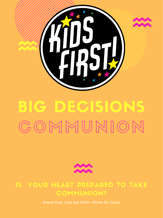Know God- Live out Faith- Shine for Jesus

## IS YOUR HEART PREPARED TO TAKE COMMUNION?



# BIG DECISIONS

# COMMUNION

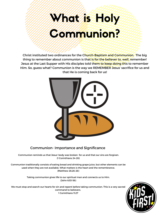### Communion- Importance and Significance

Communion reminds us that Jesus' body was broken for us and that our sins are forgiven. (1 Corinthians 24-26)

Communion traditionally consists of eating bread and drinking grape juice, but other elements can be used when they are not available. What matters is the heart and the remembrance. (Matthew 26:26-28)

> Taking communion gives life to our spiritual man and connects us to Him. (John 6:53-58)

We must stop and search our hearts for sin and repent before taking communion. This is a very sacred command to believers. 1 Corinthians 11:27



# What is Holy is Not Communication?

Christ instituted two ordinances for the Church-Baptism and Communion. The big thing to remember about communion is that is for the believer to, well, remember! Jesus at the Last Supper with His disciples told them to keep doing this to remember Him. So, guess what? Communion is the way we REMEMBER Jesus' sacrifice for us and that He is coming back for us!

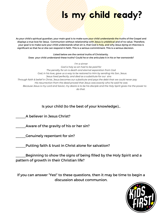# Is my provided ready?

As your child's spiritual guardian, your main goal is to make sure your child understands the truths of the Gospel and displays a true love for Jesus. Communion without relationship with Jesus is unbiblical and of no value. Therefore, your goal is to make sure your child understands what sin is, that God is holy, and why Jesus dying on thecross is significant so that he or she can respond in faith. This is a serious commitment. This is a serious decision.

Listed below are the central truths of Christianity. Does your child understand these truths? Could he or she articulate it in his or her ownwords?

*I'm a sinner God is holy so sin had to be paid for The penalty for sin is death and eternal separation from God God, in his love, gave us a way to be restored to Him by sending His Son, Jesus. Jesus lived perfectly, and died as a substitute for our sins* Through faith & belief in Christ, Jesus becomes our substitute and pays the debt that we could never pay *His resurrection from the dead proved that Jesus was exactly who he said he was* Because Jesus is my Lord and Savior, my desire is to be his disciple and the Holy Spirit gives me the power to *do that.*

Is your child (to the best of your knowledge)…

A believer in Jesus Christ?

Aware of the gravity of his or her sin?

Genuinely repentant for sin?

Putting faith & trust in Christ alone for salvation?

\_\_\_\_\_Beginning to show the signs of being filled by the Holy Spirit and a pattern of growth in their Christian life?

If you can answer "Yes!" to these questions, then it may be time to begin a discussion about communion.

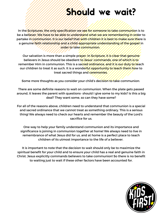## Should we wait?

In the Scriptures, the only specification we see for someone to take communion is to be a believer. We have to be able to understand what we are remembering in order to partake in communion. It is our belief that with children it is best to make sure there is a genuine faith relationship and a child-appropriate understanding of the gospel in order to take communion.

Our salvation is more than a simple prayer. In Scripture, it is clear that genuine believers in Jesus should be obedient to Jesus' commands, one of which is to remember Him in communion. This is a sacred ordinance, and it is our duty to teach our children to treat it as such. It is a wonderful opportunity to teach them how to treat sacred things and ceremonies.

Some more thoughts as you consider your child's decision to take communion:

There are some definite reasons to wait on communion. When the plate gets passed around, it leaves the parent with questions- should I give some to my kids? Is this a big deal? They want some, so can they have some?

For all of the reasons above, children need to understand that communion is a special and sacred ordinance that we cannot treat as something ordinary. This is a serious thing! We always need to check our hearts and remember the beauty of the Lord's sacrifice for us.

One way to help your family understand communion and its importance and significance is joining in communion together at home! We always need to live in remembrance of what Jesus did for us, and at home is a perfect place to teach children of its utmost importance to the life of a believer.

It is important to note that the decision to wait should only be to maximize the spiritual benefit for your child and to ensure your child has a real and genuine faith in Christ. Jesus explicitly commands believers to take communion! So there is no benefit to waiting just to wait if these other factors have been accounted for.

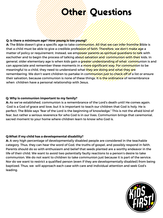## Other Questions

### **Q: Is there a minimum age? How young is too young?**

A: The Bible doesn't give a specific age to take communion. All that we can infer from the Bible is that a child must be able to give a credible profession of faith. Therefore, we don't make age a matter of policy or requirement. Instead, we empower parents as spiritual guardians to talk with eachother and to begin the process of talking about salvation and communion with their kids. In general, older elementary age is when kids gain a greater understanding of what communion is and can appreciate and remember these moments in a more significant way. For communion to be meaningful to a child, they need to understand what they are doing and what they are remembering. We don't want children to partake in communion just to check off of a list or ensure their salvation, because communion is none of these things. It is the ordinance of remembrance when children have a personal relationship with Jesus.

### **Q:What if my child has a developmental disability?**

**A:** A very high percentage of developmentally disabled people are considered in the teachable category. Thus, they can hear the word of God, the truths of gospel, and possibly respond in faith. Parents should do so with enthusiasm and belief that seeds planted are a worthy endeavor in the life of their child. We want to avoid two potentially faulty reactions to a person's desire to take communion. We do not want to children to take communion just because it is part of the service. Nor do we want to restrict a qualified person (even if they are developmentally disabled) from being baptized. Thus, we will approach each case with care and individual attention and seek God's leading.



#### **Q: Why is communion important to my family?**

**A:** As we've established, communion is a remembrance of the Lord's death until He comes again. God is a God of grace and love, but it is important to teach our children that God is holy. He is perfect. The Bible says "fear of the Lord is the beginning of knowledge." This is not the afraid kind of

fear, but rather a serious reverence for who God is in our lives. Communion brings that ceremonial, sacred moment to your home where children learn to know who God is.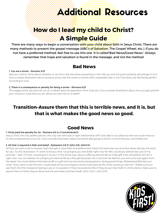## Additional Resources

## **How do I lead my child to Christ? A Simple Guide**

There are many ways to begin a conversation with your child about faith in Jesus Christ. There are many methods to present the gospel message (ABC's of Salvation, The Gospel Wheel, etc.). If you do not have a preferred method, feel free to use this one. It is called"Bad News/Good News." Always remember that hope and salvation is found in the message, and not the method.

Ask your child to think about whether or not he or she has done everything in their life up until this point perfectly (should get a "no"). Give a simple illustration about trying to jump over the ocean or some other impossible task. It can't be done, just like being perfect *according to God.*

### **Bad News**

#### 1. You are a sinner – Romans 3:23

The wages (what we earn) for our sin is death (eternal separation from God, etc.) Give a simple illustration about how you get paid for *your chores or a job that you do. What you earn for sin is death.*

#### 2. There is a consequence or penalty for being a sinner – Romans 6:23

## **Transition–Assure them that this is terrible news, and it is, but that is what makes the good news so good.**

### **Good News**

#### 1. Christ paid the penalty for sin – Romans 5:8 or 2 Corinthians5:21

Jesus Christ, the only perfect person, the only one who was in right relationship with God, died in our place so that we could miss out on the consequences of our sin. Give a simple illustration about someone else going to jail for a crime that you committed, etc.

All that we have to do to receive God's free gift is have faith and believe that what God said was true and that Jesus did pay the price for you. Try this illustration: If I were to tell you that I would give you one dollar right now for free, would you believe (be sure of my promise - Heb. 11:1) that I would give it to you? In the same way, Jesus is offering eternal life as a free gift if we will believe Him for it right now. You can believe He will give you eternal life as a free gift because He is God and He died for your sins and rose again from the dead. You must believe that eternal life is a gift and not earned by being good or doing good things. (Ephesians2:8,9) Ask your child, "If you were to tell me how I could have all my sins forgiven and to have eternal life, what would you tell me?" (Make sure you ask them this first instead of asking a yes or no question if they have eternal life.) If they do put their faith in Christ alone, make sure to *assure them of what they've done and the promises God has made. (John 5:24, I John 5:13)*



#### 2. All that is required is faith and belief – Ephesians 2:8-9, John 3:16, John1:12•